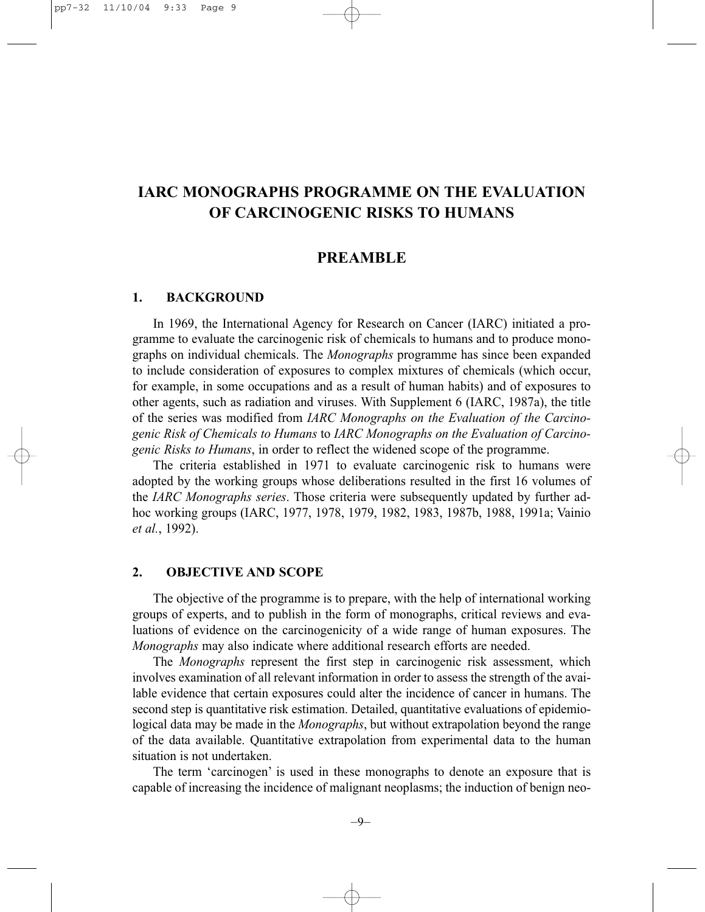# **IARC MONOGRAPHS PROGRAMME ON THE EVALUATION OF CARCINOGENIC RISKS TO HUMANS**

# **PREAMBLE**

# **1. BACKGROUND**

In 1969, the International Agency for Research on Cancer (IARC) initiated a programme to evaluate the carcinogenic risk of chemicals to humans and to produce monographs on individual chemicals. The *Monographs* programme has since been expanded to include consideration of exposures to complex mixtures of chemicals (which occur, for example, in some occupations and as a result of human habits) and of exposures to other agents, such as radiation and viruses. With Supplement 6 (IARC, 1987a), the title of the series was modified from *IARC Monographs on the Evaluation of the Carcinogenic Risk of Chemicals to Humans* to *IARC Monographs on the Evaluation of Carcinogenic Risks to Humans*, in order to reflect the widened scope of the programme.

The criteria established in 1971 to evaluate carcinogenic risk to humans were adopted by the working groups whose deliberations resulted in the first 16 volumes of the *IARC Monographs series*. Those criteria were subsequently updated by further adhoc working groups (IARC, 1977, 1978, 1979, 1982, 1983, 1987b, 1988, 1991a; Vainio *et al.*, 1992).

# **2. OBJECTIVE AND SCOPE**

The objective of the programme is to prepare, with the help of international working groups of experts, and to publish in the form of monographs, critical reviews and evaluations of evidence on the carcinogenicity of a wide range of human exposures. The *Monographs* may also indicate where additional research efforts are needed.

The *Monographs* represent the first step in carcinogenic risk assessment, which involves examination of all relevant information in order to assess the strength of the available evidence that certain exposures could alter the incidence of cancer in humans. The second step is quantitative risk estimation. Detailed, quantitative evaluations of epidemiological data may be made in the *Monographs*, but without extrapolation beyond the range of the data available. Quantitative extrapolation from experimental data to the human situation is not undertaken.

The term 'carcinogen' is used in these monographs to denote an exposure that is capable of increasing the incidence of malignant neoplasms; the induction of benign neo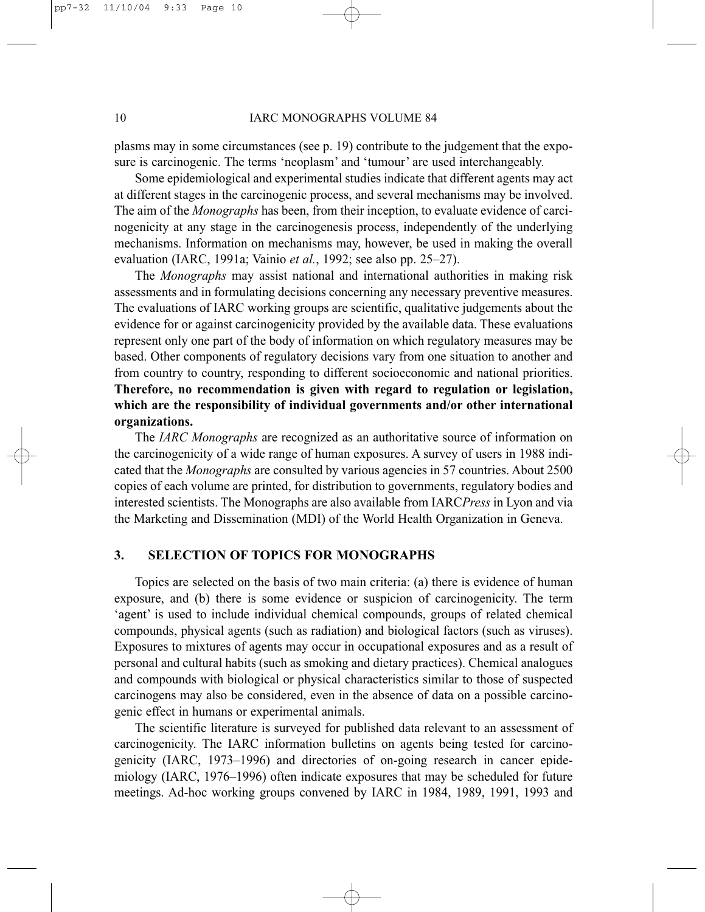plasms may in some circumstances (see p. 19) contribute to the judgement that the exposure is carcinogenic. The terms 'neoplasm' and 'tumour' are used interchangeably.

Some epidemiological and experimental studies indicate that different agents may act at different stages in the carcinogenic process, and several mechanisms may be involved. The aim of the *Monographs* has been, from their inception, to evaluate evidence of carcinogenicity at any stage in the carcinogenesis process, independently of the underlying mechanisms. Information on mechanisms may, however, be used in making the overall evaluation (IARC, 1991a; Vainio *et al.*, 1992; see also pp. 25–27).

The *Monographs* may assist national and international authorities in making risk assessments and in formulating decisions concerning any necessary preventive measures. The evaluations of IARC working groups are scientific, qualitative judgements about the evidence for or against carcinogenicity provided by the available data. These evaluations represent only one part of the body of information on which regulatory measures may be based. Other components of regulatory decisions vary from one situation to another and from country to country, responding to different socioeconomic and national priorities. **Therefore, no recommendation is given with regard to regulation or legislation, which are the responsibility of individual governments and/or other international organizations.**

The *IARC Monographs* are recognized as an authoritative source of information on the carcinogenicity of a wide range of human exposures. A survey of users in 1988 indicated that the *Monographs* are consulted by various agencies in 57 countries. About 2500 copies of each volume are printed, for distribution to governments, regulatory bodies and interested scientists. The Monographs are also available from IARC*Press* in Lyon and via the Marketing and Dissemination (MDI) of the World Health Organization in Geneva.

### **3. SELECTION OF TOPICS FOR MONOGRAPHS**

Topics are selected on the basis of two main criteria: (a) there is evidence of human exposure, and (b) there is some evidence or suspicion of carcinogenicity. The term 'agent' is used to include individual chemical compounds, groups of related chemical compounds, physical agents (such as radiation) and biological factors (such as viruses). Exposures to mixtures of agents may occur in occupational exposures and as a result of personal and cultural habits (such as smoking and dietary practices). Chemical analogues and compounds with biological or physical characteristics similar to those of suspected carcinogens may also be considered, even in the absence of data on a possible carcinogenic effect in humans or experimental animals.

The scientific literature is surveyed for published data relevant to an assessment of carcinogenicity. The IARC information bulletins on agents being tested for carcinogenicity (IARC, 1973–1996) and directories of on-going research in cancer epidemiology (IARC, 1976–1996) often indicate exposures that may be scheduled for future meetings. Ad-hoc working groups convened by IARC in 1984, 1989, 1991, 1993 and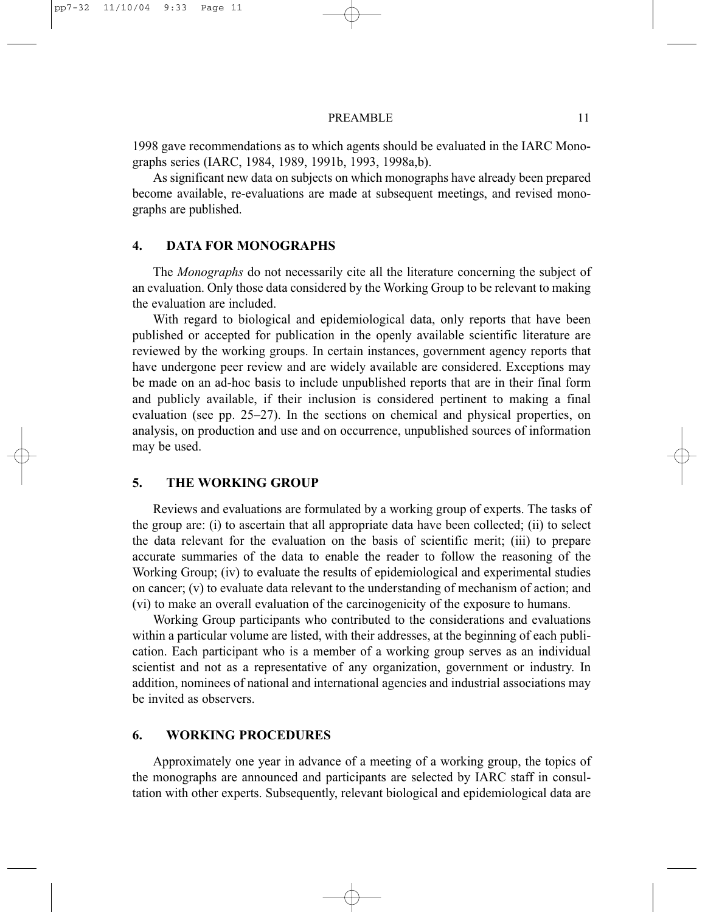1998 gave recommendations as to which agents should be evaluated in the IARC Monographs series (IARC, 1984, 1989, 1991b, 1993, 1998a,b).

As significant new data on subjects on which monographs have already been prepared become available, re-evaluations are made at subsequent meetings, and revised monographs are published.

### **4. DATA FOR MONOGRAPHS**

The *Monographs* do not necessarily cite all the literature concerning the subject of an evaluation. Only those data considered by the Working Group to be relevant to making the evaluation are included.

With regard to biological and epidemiological data, only reports that have been published or accepted for publication in the openly available scientific literature are reviewed by the working groups. In certain instances, government agency reports that have undergone peer review and are widely available are considered. Exceptions may be made on an ad-hoc basis to include unpublished reports that are in their final form and publicly available, if their inclusion is considered pertinent to making a final evaluation (see pp. 25–27). In the sections on chemical and physical properties, on analysis, on production and use and on occurrence, unpublished sources of information may be used.

# **5. THE WORKING GROUP**

Reviews and evaluations are formulated by a working group of experts. The tasks of the group are: (i) to ascertain that all appropriate data have been collected; (ii) to select the data relevant for the evaluation on the basis of scientific merit; (iii) to prepare accurate summaries of the data to enable the reader to follow the reasoning of the Working Group; (iv) to evaluate the results of epidemiological and experimental studies on cancer; (v) to evaluate data relevant to the understanding of mechanism of action; and (vi) to make an overall evaluation of the carcinogenicity of the exposure to humans.

Working Group participants who contributed to the considerations and evaluations within a particular volume are listed, with their addresses, at the beginning of each publication. Each participant who is a member of a working group serves as an individual scientist and not as a representative of any organization, government or industry. In addition, nominees of national and international agencies and industrial associations may be invited as observers.

# **6. WORKING PROCEDURES**

Approximately one year in advance of a meeting of a working group, the topics of the monographs are announced and participants are selected by IARC staff in consultation with other experts. Subsequently, relevant biological and epidemiological data are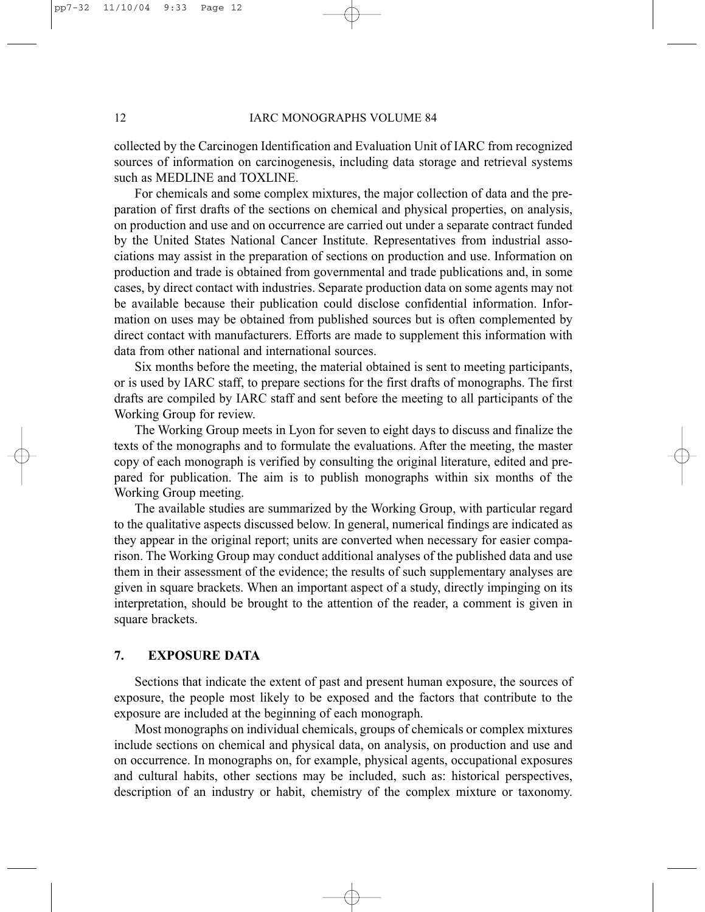collected by the Carcinogen Identification and Evaluation Unit of IARC from recognized sources of information on carcinogenesis, including data storage and retrieval systems such as MEDLINE and TOXLINE.

For chemicals and some complex mixtures, the major collection of data and the preparation of first drafts of the sections on chemical and physical properties, on analysis, on production and use and on occurrence are carried out under a separate contract funded by the United States National Cancer Institute. Representatives from industrial associations may assist in the preparation of sections on production and use. Information on production and trade is obtained from governmental and trade publications and, in some cases, by direct contact with industries. Separate production data on some agents may not be available because their publication could disclose confidential information. Information on uses may be obtained from published sources but is often complemented by direct contact with manufacturers. Efforts are made to supplement this information with data from other national and international sources.

Six months before the meeting, the material obtained is sent to meeting participants, or is used by IARC staff, to prepare sections for the first drafts of monographs. The first drafts are compiled by IARC staff and sent before the meeting to all participants of the Working Group for review.

The Working Group meets in Lyon for seven to eight days to discuss and finalize the texts of the monographs and to formulate the evaluations. After the meeting, the master copy of each monograph is verified by consulting the original literature, edited and prepared for publication. The aim is to publish monographs within six months of the Working Group meeting.

The available studies are summarized by the Working Group, with particular regard to the qualitative aspects discussed below. In general, numerical findings are indicated as they appear in the original report; units are converted when necessary for easier comparison. The Working Group may conduct additional analyses of the published data and use them in their assessment of the evidence; the results of such supplementary analyses are given in square brackets. When an important aspect of a study, directly impinging on its interpretation, should be brought to the attention of the reader, a comment is given in square brackets.

# **7. EXPOSURE DATA**

Sections that indicate the extent of past and present human exposure, the sources of exposure, the people most likely to be exposed and the factors that contribute to the exposure are included at the beginning of each monograph.

Most monographs on individual chemicals, groups of chemicals or complex mixtures include sections on chemical and physical data, on analysis, on production and use and on occurrence. In monographs on, for example, physical agents, occupational exposures and cultural habits, other sections may be included, such as: historical perspectives, description of an industry or habit, chemistry of the complex mixture or taxonomy.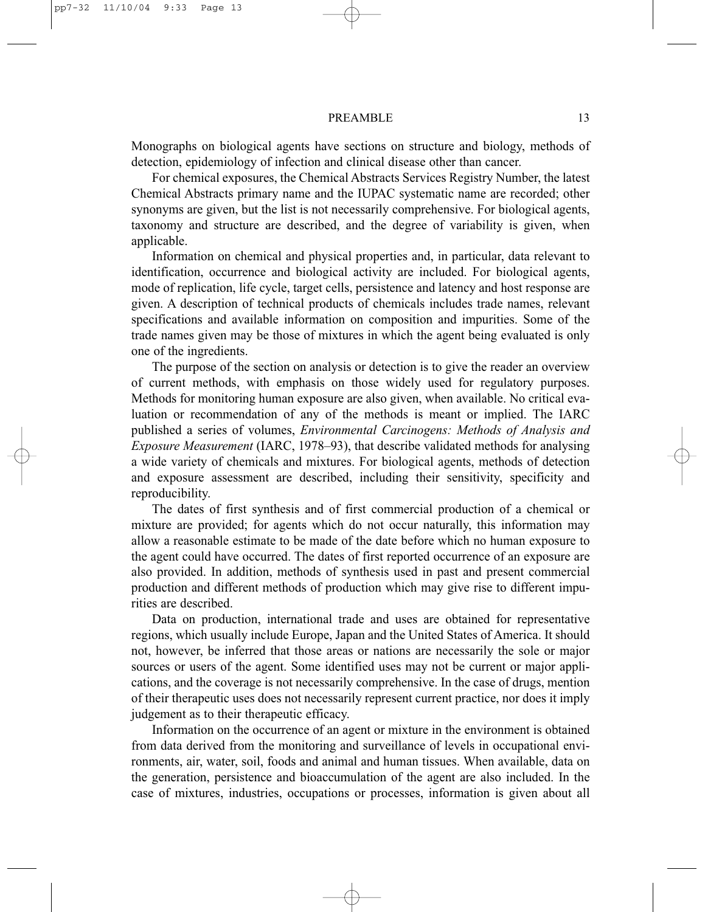Monographs on biological agents have sections on structure and biology, methods of detection, epidemiology of infection and clinical disease other than cancer.

For chemical exposures, the Chemical Abstracts Services Registry Number, the latest Chemical Abstracts primary name and the IUPAC systematic name are recorded; other synonyms are given, but the list is not necessarily comprehensive. For biological agents, taxonomy and structure are described, and the degree of variability is given, when applicable.

Information on chemical and physical properties and, in particular, data relevant to identification, occurrence and biological activity are included. For biological agents, mode of replication, life cycle, target cells, persistence and latency and host response are given. A description of technical products of chemicals includes trade names, relevant specifications and available information on composition and impurities. Some of the trade names given may be those of mixtures in which the agent being evaluated is only one of the ingredients.

The purpose of the section on analysis or detection is to give the reader an overview of current methods, with emphasis on those widely used for regulatory purposes. Methods for monitoring human exposure are also given, when available. No critical evaluation or recommendation of any of the methods is meant or implied. The IARC published a series of volumes, *Environmental Carcinogens: Methods of Analysis and Exposure Measurement* (IARC, 1978–93), that describe validated methods for analysing a wide variety of chemicals and mixtures. For biological agents, methods of detection and exposure assessment are described, including their sensitivity, specificity and reproducibility.

The dates of first synthesis and of first commercial production of a chemical or mixture are provided; for agents which do not occur naturally, this information may allow a reasonable estimate to be made of the date before which no human exposure to the agent could have occurred. The dates of first reported occurrence of an exposure are also provided. In addition, methods of synthesis used in past and present commercial production and different methods of production which may give rise to different impurities are described.

Data on production, international trade and uses are obtained for representative regions, which usually include Europe, Japan and the United States of America. It should not, however, be inferred that those areas or nations are necessarily the sole or major sources or users of the agent. Some identified uses may not be current or major applications, and the coverage is not necessarily comprehensive. In the case of drugs, mention of their therapeutic uses does not necessarily represent current practice, nor does it imply judgement as to their therapeutic efficacy.

Information on the occurrence of an agent or mixture in the environment is obtained from data derived from the monitoring and surveillance of levels in occupational environments, air, water, soil, foods and animal and human tissues. When available, data on the generation, persistence and bioaccumulation of the agent are also included. In the case of mixtures, industries, occupations or processes, information is given about all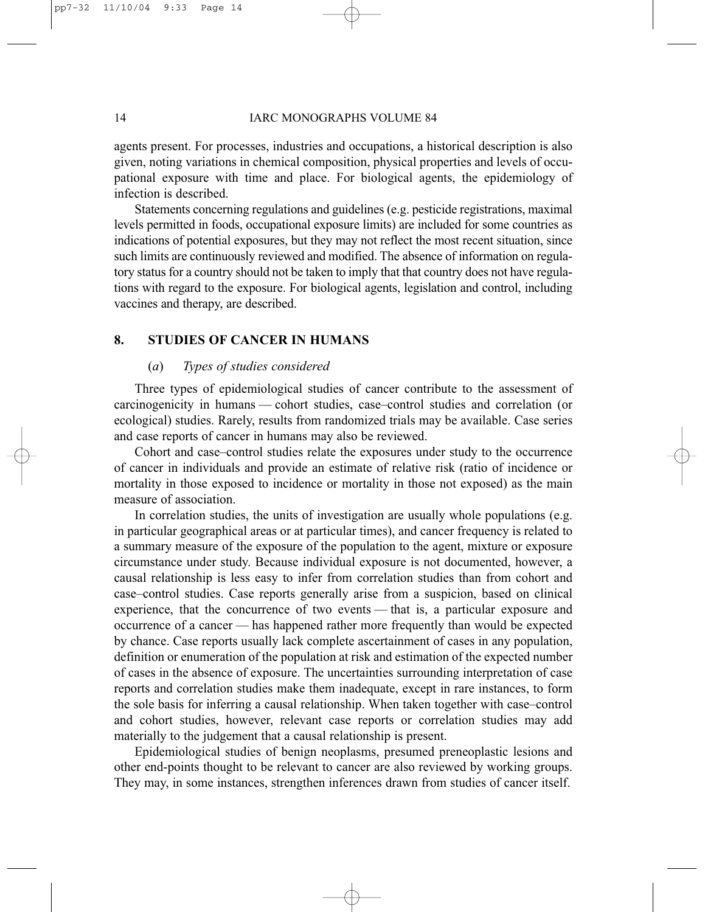agents present. For processes, industries and occupations, a historical description is also given, noting variations in chemical composition, physical properties and levels of occupational exposure with time and place. For biological agents, the epidemiology of infection is described.

Statements concerning regulations and guidelines (e.g. pesticide registrations, maximal levels permitted in foods, occupational exposure limits) are included for some countries as indications of potential exposures, but they may not reflect the most recent situation, since such limits are continuously reviewed and modified. The absence of information on regulatory status for a country should not be taken to imply that that country does not have regulations with regard to the exposure. For biological agents, legislation and control, including vaccines and therapy, are described.

# **8. STUDIES OF CANCER IN HUMANS**

# (*a*) *Types of studies considered*

Three types of epidemiological studies of cancer contribute to the assessment of carcinogenicity in humans — cohort studies, case–control studies and correlation (or ecological) studies. Rarely, results from randomized trials may be available. Case series and case reports of cancer in humans may also be reviewed.

Cohort and case–control studies relate the exposures under study to the occurrence of cancer in individuals and provide an estimate of relative risk (ratio of incidence or mortality in those exposed to incidence or mortality in those not exposed) as the main measure of association.

In correlation studies, the units of investigation are usually whole populations (e.g. in particular geographical areas or at particular times), and cancer frequency is related to a summary measure of the exposure of the population to the agent, mixture or exposure circumstance under study. Because individual exposure is not documented, however, a causal relationship is less easy to infer from correlation studies than from cohort and case–control studies. Case reports generally arise from a suspicion, based on clinical experience, that the concurrence of two events — that is, a particular exposure and occurrence of a cancer — has happened rather more frequently than would be expected by chance. Case reports usually lack complete ascertainment of cases in any population, definition or enumeration of the population at risk and estimation of the expected number of cases in the absence of exposure. The uncertainties surrounding interpretation of case reports and correlation studies make them inadequate, except in rare instances, to form the sole basis for inferring a causal relationship. When taken together with case–control and cohort studies, however, relevant case reports or correlation studies may add materially to the judgement that a causal relationship is present.

Epidemiological studies of benign neoplasms, presumed preneoplastic lesions and other end-points thought to be relevant to cancer are also reviewed by working groups. They may, in some instances, strengthen inferences drawn from studies of cancer itself.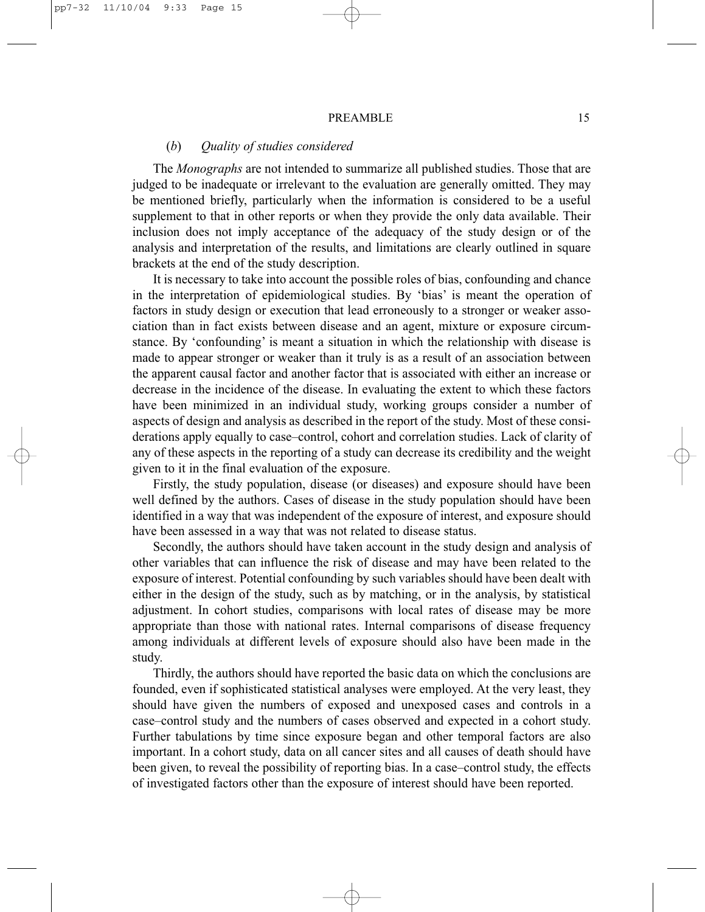### (*b*) *Quality of studies considered*

The *Monographs* are not intended to summarize all published studies. Those that are judged to be inadequate or irrelevant to the evaluation are generally omitted. They may be mentioned briefly, particularly when the information is considered to be a useful supplement to that in other reports or when they provide the only data available. Their inclusion does not imply acceptance of the adequacy of the study design or of the analysis and interpretation of the results, and limitations are clearly outlined in square brackets at the end of the study description.

It is necessary to take into account the possible roles of bias, confounding and chance in the interpretation of epidemiological studies. By 'bias' is meant the operation of factors in study design or execution that lead erroneously to a stronger or weaker association than in fact exists between disease and an agent, mixture or exposure circumstance. By 'confounding' is meant a situation in which the relationship with disease is made to appear stronger or weaker than it truly is as a result of an association between the apparent causal factor and another factor that is associated with either an increase or decrease in the incidence of the disease. In evaluating the extent to which these factors have been minimized in an individual study, working groups consider a number of aspects of design and analysis as described in the report of the study. Most of these considerations apply equally to case–control, cohort and correlation studies. Lack of clarity of any of these aspects in the reporting of a study can decrease its credibility and the weight given to it in the final evaluation of the exposure.

Firstly, the study population, disease (or diseases) and exposure should have been well defined by the authors. Cases of disease in the study population should have been identified in a way that was independent of the exposure of interest, and exposure should have been assessed in a way that was not related to disease status.

Secondly, the authors should have taken account in the study design and analysis of other variables that can influence the risk of disease and may have been related to the exposure of interest. Potential confounding by such variables should have been dealt with either in the design of the study, such as by matching, or in the analysis, by statistical adjustment. In cohort studies, comparisons with local rates of disease may be more appropriate than those with national rates. Internal comparisons of disease frequency among individuals at different levels of exposure should also have been made in the study.

Thirdly, the authors should have reported the basic data on which the conclusions are founded, even if sophisticated statistical analyses were employed. At the very least, they should have given the numbers of exposed and unexposed cases and controls in a case–control study and the numbers of cases observed and expected in a cohort study. Further tabulations by time since exposure began and other temporal factors are also important. In a cohort study, data on all cancer sites and all causes of death should have been given, to reveal the possibility of reporting bias. In a case–control study, the effects of investigated factors other than the exposure of interest should have been reported.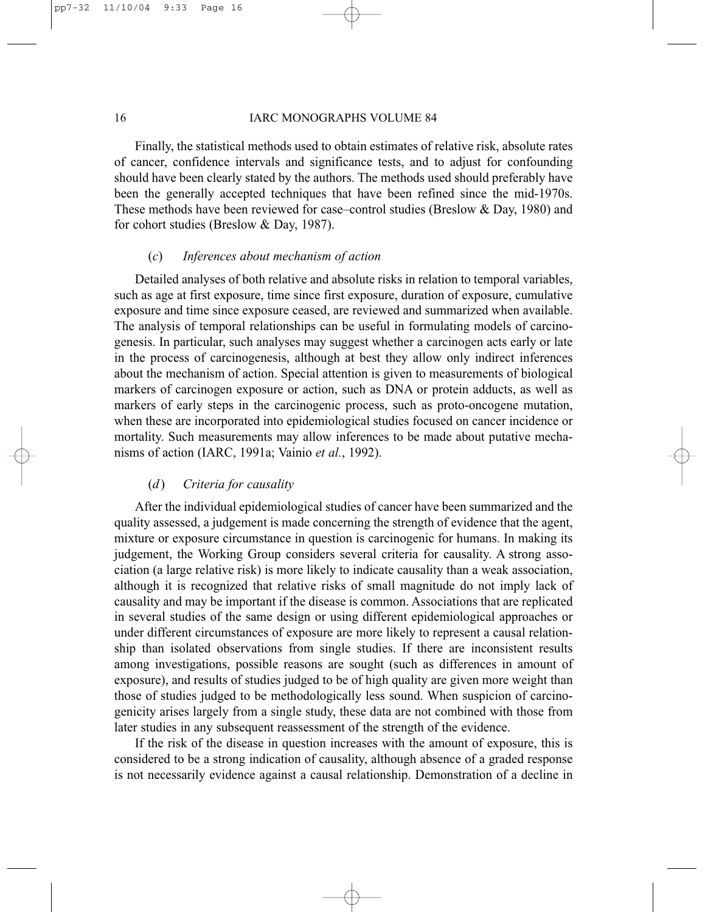### 16 **IARC MONOGRAPHS VOLUME 84**

Finally, the statistical methods used to obtain estimates of relative risk, absolute rates of cancer, confidence intervals and significance tests, and to adjust for confounding should have been clearly stated by the authors. The methods used should preferably have been the generally accepted techniques that have been refined since the mid-1970s. These methods have been reviewed for case–control studies (Breslow  $&$  Day, 1980) and for cohort studies (Breslow & Day, 1987).

### (*c*) *Inferences about mechanism of action*

Detailed analyses of both relative and absolute risks in relation to temporal variables, such as age at first exposure, time since first exposure, duration of exposure, cumulative exposure and time since exposure ceased, are reviewed and summarized when available. The analysis of temporal relationships can be useful in formulating models of carcinogenesis. In particular, such analyses may suggest whether a carcinogen acts early or late in the process of carcinogenesis, although at best they allow only indirect inferences about the mechanism of action. Special attention is given to measurements of biological markers of carcinogen exposure or action, such as DNA or protein adducts, as well as markers of early steps in the carcinogenic process, such as proto-oncogene mutation, when these are incorporated into epidemiological studies focused on cancer incidence or mortality. Such measurements may allow inferences to be made about putative mechanisms of action (IARC, 1991a; Vainio *et al.*, 1992).

# (*d* ) *Criteria for causality*

After the individual epidemiological studies of cancer have been summarized and the quality assessed, a judgement is made concerning the strength of evidence that the agent, mixture or exposure circumstance in question is carcinogenic for humans. In making its judgement, the Working Group considers several criteria for causality. A strong association (a large relative risk) is more likely to indicate causality than a weak association, although it is recognized that relative risks of small magnitude do not imply lack of causality and may be important if the disease is common. Associations that are replicated in several studies of the same design or using different epidemiological approaches or under different circumstances of exposure are more likely to represent a causal relationship than isolated observations from single studies. If there are inconsistent results among investigations, possible reasons are sought (such as differences in amount of exposure), and results of studies judged to be of high quality are given more weight than those of studies judged to be methodologically less sound. When suspicion of carcinogenicity arises largely from a single study, these data are not combined with those from later studies in any subsequent reassessment of the strength of the evidence.

If the risk of the disease in question increases with the amount of exposure, this is considered to be a strong indication of causality, although absence of a graded response is not necessarily evidence against a causal relationship. Demonstration of a decline in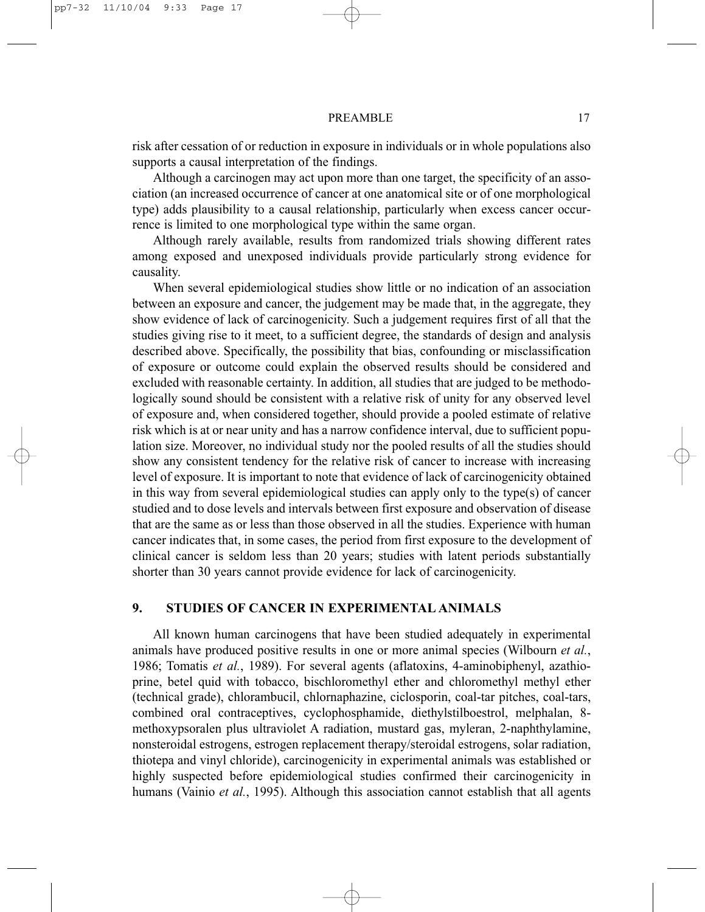risk after cessation of or reduction in exposure in individuals or in whole populations also supports a causal interpretation of the findings.

Although a carcinogen may act upon more than one target, the specificity of an association (an increased occurrence of cancer at one anatomical site or of one morphological type) adds plausibility to a causal relationship, particularly when excess cancer occurrence is limited to one morphological type within the same organ.

Although rarely available, results from randomized trials showing different rates among exposed and unexposed individuals provide particularly strong evidence for causality.

When several epidemiological studies show little or no indication of an association between an exposure and cancer, the judgement may be made that, in the aggregate, they show evidence of lack of carcinogenicity. Such a judgement requires first of all that the studies giving rise to it meet, to a sufficient degree, the standards of design and analysis described above. Specifically, the possibility that bias, confounding or misclassification of exposure or outcome could explain the observed results should be considered and excluded with reasonable certainty. In addition, all studies that are judged to be methodologically sound should be consistent with a relative risk of unity for any observed level of exposure and, when considered together, should provide a pooled estimate of relative risk which is at or near unity and has a narrow confidence interval, due to sufficient population size. Moreover, no individual study nor the pooled results of all the studies should show any consistent tendency for the relative risk of cancer to increase with increasing level of exposure. It is important to note that evidence of lack of carcinogenicity obtained in this way from several epidemiological studies can apply only to the type(s) of cancer studied and to dose levels and intervals between first exposure and observation of disease that are the same as or less than those observed in all the studies. Experience with human cancer indicates that, in some cases, the period from first exposure to the development of clinical cancer is seldom less than 20 years; studies with latent periods substantially shorter than 30 years cannot provide evidence for lack of carcinogenicity.

# **9. STUDIES OF CANCER IN EXPERIMENTAL ANIMALS**

All known human carcinogens that have been studied adequately in experimental animals have produced positive results in one or more animal species (Wilbourn *et al.*, 1986; Tomatis *et al.*, 1989). For several agents (aflatoxins, 4-aminobiphenyl, azathioprine, betel quid with tobacco, bischloromethyl ether and chloromethyl methyl ether (technical grade), chlorambucil, chlornaphazine, ciclosporin, coal-tar pitches, coal-tars, combined oral contraceptives, cyclophosphamide, diethylstilboestrol, melphalan, 8 methoxypsoralen plus ultraviolet A radiation, mustard gas, myleran, 2-naphthylamine, nonsteroidal estrogens, estrogen replacement therapy/steroidal estrogens, solar radiation, thiotepa and vinyl chloride), carcinogenicity in experimental animals was established or highly suspected before epidemiological studies confirmed their carcinogenicity in humans (Vainio *et al.*, 1995). Although this association cannot establish that all agents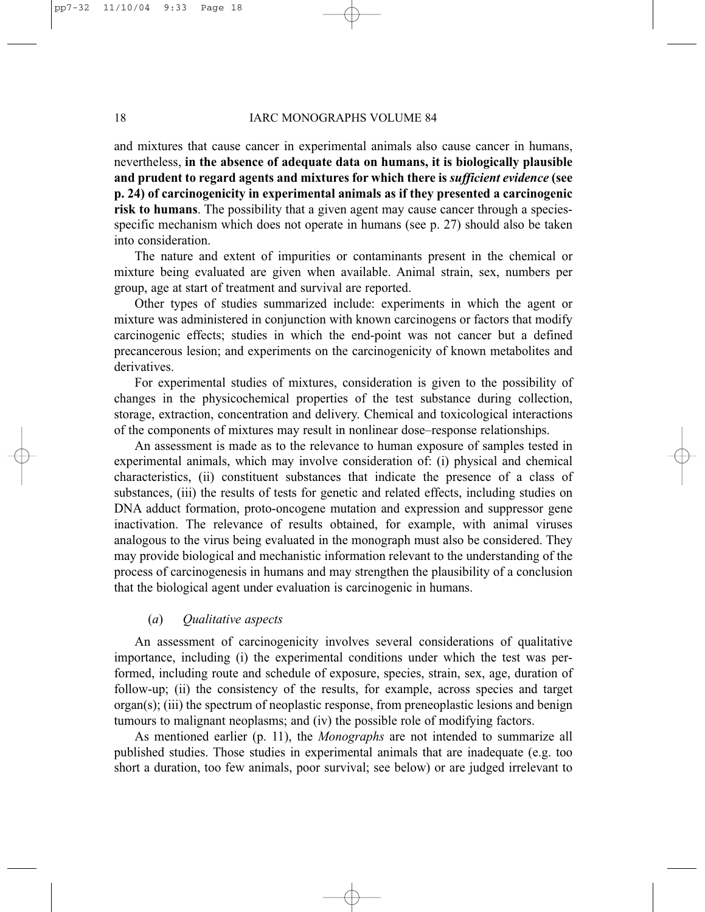and mixtures that cause cancer in experimental animals also cause cancer in humans, nevertheless, **in the absence of adequate data on humans, it is biologically plausible and prudent to regard agents and mixtures for which there is** *sufficient evidence* **(see p. 24) of carcinogenicity in experimental animals as if they presented a carcinogenic risk to humans**. The possibility that a given agent may cause cancer through a speciesspecific mechanism which does not operate in humans (see p. 27) should also be taken into consideration.

The nature and extent of impurities or contaminants present in the chemical or mixture being evaluated are given when available. Animal strain, sex, numbers per group, age at start of treatment and survival are reported.

Other types of studies summarized include: experiments in which the agent or mixture was administered in conjunction with known carcinogens or factors that modify carcinogenic effects; studies in which the end-point was not cancer but a defined precancerous lesion; and experiments on the carcinogenicity of known metabolites and derivatives.

For experimental studies of mixtures, consideration is given to the possibility of changes in the physicochemical properties of the test substance during collection, storage, extraction, concentration and delivery. Chemical and toxicological interactions of the components of mixtures may result in nonlinear dose–response relationships.

An assessment is made as to the relevance to human exposure of samples tested in experimental animals, which may involve consideration of: (i) physical and chemical characteristics, (ii) constituent substances that indicate the presence of a class of substances, (iii) the results of tests for genetic and related effects, including studies on DNA adduct formation, proto-oncogene mutation and expression and suppressor gene inactivation. The relevance of results obtained, for example, with animal viruses analogous to the virus being evaluated in the monograph must also be considered. They may provide biological and mechanistic information relevant to the understanding of the process of carcinogenesis in humans and may strengthen the plausibility of a conclusion that the biological agent under evaluation is carcinogenic in humans.

### (*a*) *Qualitative aspects*

An assessment of carcinogenicity involves several considerations of qualitative importance, including (i) the experimental conditions under which the test was performed, including route and schedule of exposure, species, strain, sex, age, duration of follow-up; (ii) the consistency of the results, for example, across species and target organ(s); (iii) the spectrum of neoplastic response, from preneoplastic lesions and benign tumours to malignant neoplasms; and (iv) the possible role of modifying factors.

As mentioned earlier (p. 11), the *Monographs* are not intended to summarize all published studies. Those studies in experimental animals that are inadequate (e.g. too short a duration, too few animals, poor survival; see below) or are judged irrelevant to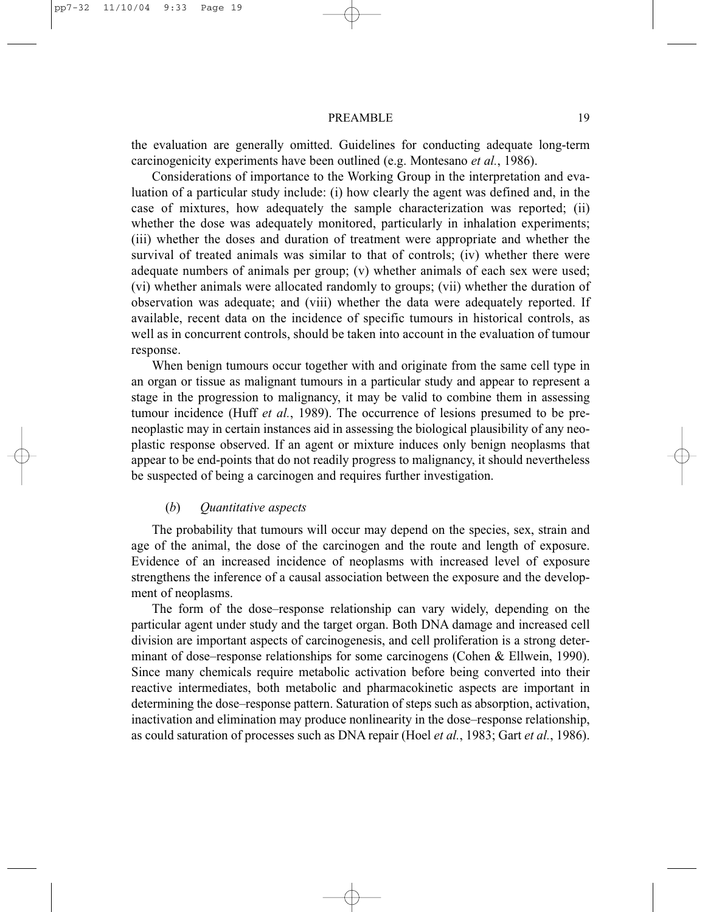the evaluation are generally omitted. Guidelines for conducting adequate long-term carcinogenicity experiments have been outlined (e.g. Montesano *et al.*, 1986).

Considerations of importance to the Working Group in the interpretation and evaluation of a particular study include: (i) how clearly the agent was defined and, in the case of mixtures, how adequately the sample characterization was reported; (ii) whether the dose was adequately monitored, particularly in inhalation experiments; (iii) whether the doses and duration of treatment were appropriate and whether the survival of treated animals was similar to that of controls; (iv) whether there were adequate numbers of animals per group; (v) whether animals of each sex were used; (vi) whether animals were allocated randomly to groups; (vii) whether the duration of observation was adequate; and (viii) whether the data were adequately reported. If available, recent data on the incidence of specific tumours in historical controls, as well as in concurrent controls, should be taken into account in the evaluation of tumour response.

When benign tumours occur together with and originate from the same cell type in an organ or tissue as malignant tumours in a particular study and appear to represent a stage in the progression to malignancy, it may be valid to combine them in assessing tumour incidence (Huff *et al.*, 1989). The occurrence of lesions presumed to be preneoplastic may in certain instances aid in assessing the biological plausibility of any neoplastic response observed. If an agent or mixture induces only benign neoplasms that appear to be end-points that do not readily progress to malignancy, it should nevertheless be suspected of being a carcinogen and requires further investigation.

### (*b*) *Quantitative aspects*

The probability that tumours will occur may depend on the species, sex, strain and age of the animal, the dose of the carcinogen and the route and length of exposure. Evidence of an increased incidence of neoplasms with increased level of exposure strengthens the inference of a causal association between the exposure and the development of neoplasms.

The form of the dose–response relationship can vary widely, depending on the particular agent under study and the target organ. Both DNA damage and increased cell division are important aspects of carcinogenesis, and cell proliferation is a strong determinant of dose–response relationships for some carcinogens (Cohen & Ellwein, 1990). Since many chemicals require metabolic activation before being converted into their reactive intermediates, both metabolic and pharmacokinetic aspects are important in determining the dose–response pattern. Saturation of steps such as absorption, activation, inactivation and elimination may produce nonlinearity in the dose–response relationship, as could saturation of processes such as DNA repair (Hoel *et al.*, 1983; Gart *et al.*, 1986).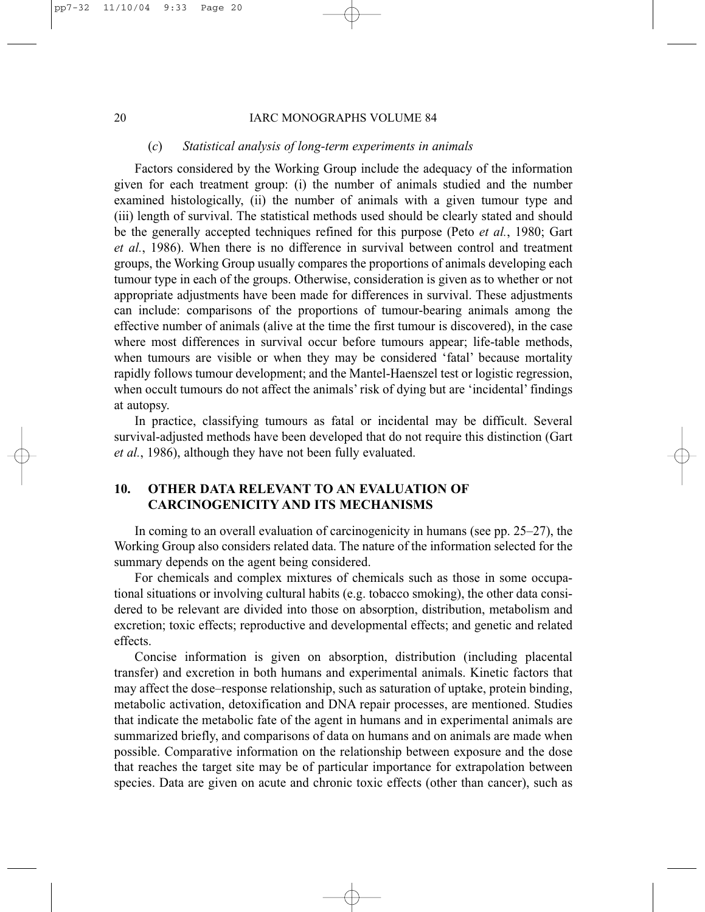### 20 **IARC MONOGRAPHS VOLUME 84**

### (*c*) *Statistical analysis of long-term experiments in animals*

Factors considered by the Working Group include the adequacy of the information given for each treatment group: (i) the number of animals studied and the number examined histologically, (ii) the number of animals with a given tumour type and (iii) length of survival. The statistical methods used should be clearly stated and should be the generally accepted techniques refined for this purpose (Peto *et al.*, 1980; Gart *et al.*, 1986). When there is no difference in survival between control and treatment groups, the Working Group usually compares the proportions of animals developing each tumour type in each of the groups. Otherwise, consideration is given as to whether or not appropriate adjustments have been made for differences in survival. These adjustments can include: comparisons of the proportions of tumour-bearing animals among the effective number of animals (alive at the time the first tumour is discovered), in the case where most differences in survival occur before tumours appear; life-table methods, when tumours are visible or when they may be considered 'fatal' because mortality rapidly follows tumour development; and the Mantel-Haenszel test or logistic regression, when occult tumours do not affect the animals' risk of dying but are 'incidental' findings at autopsy.

In practice, classifying tumours as fatal or incidental may be difficult. Several survival-adjusted methods have been developed that do not require this distinction (Gart *et al.*, 1986), although they have not been fully evaluated.

# **10. OTHER DATA RELEVANT TO AN EVALUATION OF CARCINOGENICITY AND ITS MECHANISMS**

In coming to an overall evaluation of carcinogenicity in humans (see pp. 25–27), the Working Group also considers related data. The nature of the information selected for the summary depends on the agent being considered.

For chemicals and complex mixtures of chemicals such as those in some occupational situations or involving cultural habits (e.g. tobacco smoking), the other data considered to be relevant are divided into those on absorption, distribution, metabolism and excretion; toxic effects; reproductive and developmental effects; and genetic and related effects.

Concise information is given on absorption, distribution (including placental transfer) and excretion in both humans and experimental animals. Kinetic factors that may affect the dose–response relationship, such as saturation of uptake, protein binding, metabolic activation, detoxification and DNA repair processes, are mentioned. Studies that indicate the metabolic fate of the agent in humans and in experimental animals are summarized briefly, and comparisons of data on humans and on animals are made when possible. Comparative information on the relationship between exposure and the dose that reaches the target site may be of particular importance for extrapolation between species. Data are given on acute and chronic toxic effects (other than cancer), such as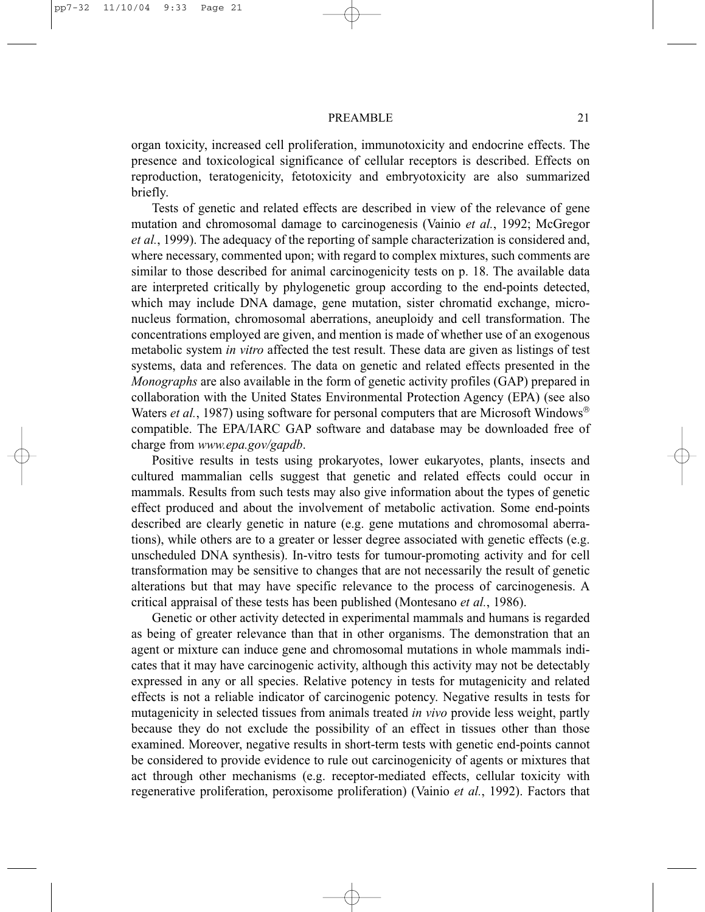organ toxicity, increased cell proliferation, immunotoxicity and endocrine effects. The presence and toxicological significance of cellular receptors is described. Effects on reproduction, teratogenicity, fetotoxicity and embryotoxicity are also summarized briefly.

Tests of genetic and related effects are described in view of the relevance of gene mutation and chromosomal damage to carcinogenesis (Vainio *et al.*, 1992; McGregor *et al.*, 1999). The adequacy of the reporting of sample characterization is considered and, where necessary, commented upon; with regard to complex mixtures, such comments are similar to those described for animal carcinogenicity tests on p. 18. The available data are interpreted critically by phylogenetic group according to the end-points detected, which may include DNA damage, gene mutation, sister chromatid exchange, micronucleus formation, chromosomal aberrations, aneuploidy and cell transformation. The concentrations employed are given, and mention is made of whether use of an exogenous metabolic system *in vitro* affected the test result. These data are given as listings of test systems, data and references. The data on genetic and related effects presented in the *Monographs* are also available in the form of genetic activity profiles (GAP) prepared in collaboration with the United States Environmental Protection Agency (EPA) (see also Waters *et al.*, 1987) using software for personal computers that are Microsoft Windows<sup>®</sup> compatible. The EPA/IARC GAP software and database may be downloaded free of charge from *www.epa.gov/gapdb*.

Positive results in tests using prokaryotes, lower eukaryotes, plants, insects and cultured mammalian cells suggest that genetic and related effects could occur in mammals. Results from such tests may also give information about the types of genetic effect produced and about the involvement of metabolic activation. Some end-points described are clearly genetic in nature (e.g. gene mutations and chromosomal aberrations), while others are to a greater or lesser degree associated with genetic effects (e.g. unscheduled DNA synthesis). In-vitro tests for tumour-promoting activity and for cell transformation may be sensitive to changes that are not necessarily the result of genetic alterations but that may have specific relevance to the process of carcinogenesis. A critical appraisal of these tests has been published (Montesano *et al.*, 1986).

Genetic or other activity detected in experimental mammals and humans is regarded as being of greater relevance than that in other organisms. The demonstration that an agent or mixture can induce gene and chromosomal mutations in whole mammals indicates that it may have carcinogenic activity, although this activity may not be detectably expressed in any or all species. Relative potency in tests for mutagenicity and related effects is not a reliable indicator of carcinogenic potency. Negative results in tests for mutagenicity in selected tissues from animals treated *in vivo* provide less weight, partly because they do not exclude the possibility of an effect in tissues other than those examined. Moreover, negative results in short-term tests with genetic end-points cannot be considered to provide evidence to rule out carcinogenicity of agents or mixtures that act through other mechanisms (e.g. receptor-mediated effects, cellular toxicity with regenerative proliferation, peroxisome proliferation) (Vainio *et al.*, 1992). Factors that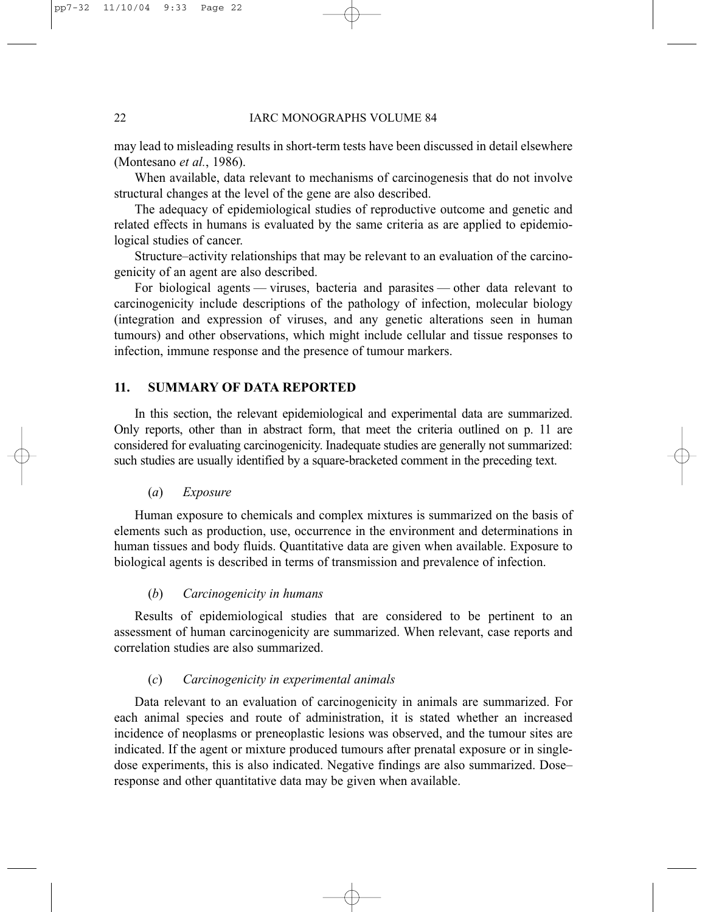may lead to misleading results in short-term tests have been discussed in detail elsewhere (Montesano *et al.*, 1986).

When available, data relevant to mechanisms of carcinogenesis that do not involve structural changes at the level of the gene are also described.

The adequacy of epidemiological studies of reproductive outcome and genetic and related effects in humans is evaluated by the same criteria as are applied to epidemiological studies of cancer.

Structure–activity relationships that may be relevant to an evaluation of the carcinogenicity of an agent are also described.

For biological agents — viruses, bacteria and parasites — other data relevant to carcinogenicity include descriptions of the pathology of infection, molecular biology (integration and expression of viruses, and any genetic alterations seen in human tumours) and other observations, which might include cellular and tissue responses to infection, immune response and the presence of tumour markers.

# **11. SUMMARY OF DATA REPORTED**

In this section, the relevant epidemiological and experimental data are summarized. Only reports, other than in abstract form, that meet the criteria outlined on p. 11 are considered for evaluating carcinogenicity. Inadequate studies are generally not summarized: such studies are usually identified by a square-bracketed comment in the preceding text.

(*a*) *Exposure*

Human exposure to chemicals and complex mixtures is summarized on the basis of elements such as production, use, occurrence in the environment and determinations in human tissues and body fluids. Quantitative data are given when available. Exposure to biological agents is described in terms of transmission and prevalence of infection.

### (*b*) *Carcinogenicity in humans*

Results of epidemiological studies that are considered to be pertinent to an assessment of human carcinogenicity are summarized. When relevant, case reports and correlation studies are also summarized.

### (*c*) *Carcinogenicity in experimental animals*

Data relevant to an evaluation of carcinogenicity in animals are summarized. For each animal species and route of administration, it is stated whether an increased incidence of neoplasms or preneoplastic lesions was observed, and the tumour sites are indicated. If the agent or mixture produced tumours after prenatal exposure or in singledose experiments, this is also indicated. Negative findings are also summarized. Dose– response and other quantitative data may be given when available.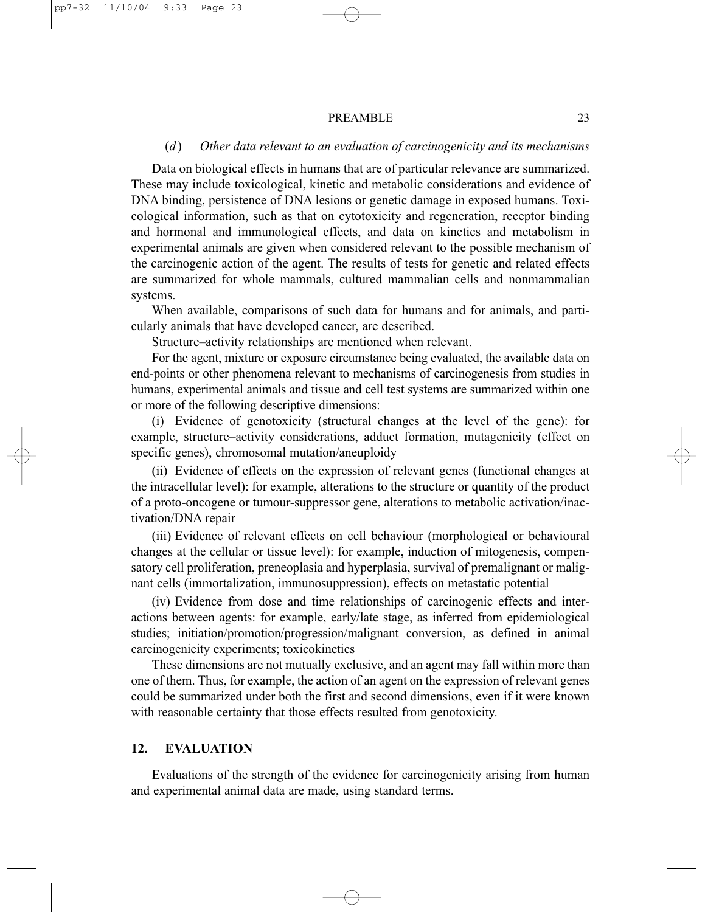# (*d*) *Other data relevant to an evaluation of carcinogenicity and its mechanisms*

Data on biological effects in humans that are of particular relevance are summarized. These may include toxicological, kinetic and metabolic considerations and evidence of DNA binding, persistence of DNA lesions or genetic damage in exposed humans. Toxicological information, such as that on cytotoxicity and regeneration, receptor binding and hormonal and immunological effects, and data on kinetics and metabolism in experimental animals are given when considered relevant to the possible mechanism of the carcinogenic action of the agent. The results of tests for genetic and related effects are summarized for whole mammals, cultured mammalian cells and nonmammalian systems.

When available, comparisons of such data for humans and for animals, and particularly animals that have developed cancer, are described.

Structure–activity relationships are mentioned when relevant.

For the agent, mixture or exposure circumstance being evaluated, the available data on end-points or other phenomena relevant to mechanisms of carcinogenesis from studies in humans, experimental animals and tissue and cell test systems are summarized within one or more of the following descriptive dimensions:

(i) Evidence of genotoxicity (structural changes at the level of the gene): for example, structure–activity considerations, adduct formation, mutagenicity (effect on specific genes), chromosomal mutation/aneuploidy

(ii) Evidence of effects on the expression of relevant genes (functional changes at the intracellular level): for example, alterations to the structure or quantity of the product of a proto-oncogene or tumour-suppressor gene, alterations to metabolic activation/inactivation/DNA repair

(iii) Evidence of relevant effects on cell behaviour (morphological or behavioural changes at the cellular or tissue level): for example, induction of mitogenesis, compensatory cell proliferation, preneoplasia and hyperplasia, survival of premalignant or malignant cells (immortalization, immunosuppression), effects on metastatic potential

(iv) Evidence from dose and time relationships of carcinogenic effects and interactions between agents: for example, early/late stage, as inferred from epidemiological studies; initiation/promotion/progression/malignant conversion, as defined in animal carcinogenicity experiments; toxicokinetics

These dimensions are not mutually exclusive, and an agent may fall within more than one of them. Thus, for example, the action of an agent on the expression of relevant genes could be summarized under both the first and second dimensions, even if it were known with reasonable certainty that those effects resulted from genotoxicity.

# **12. EVALUATION**

Evaluations of the strength of the evidence for carcinogenicity arising from human and experimental animal data are made, using standard terms.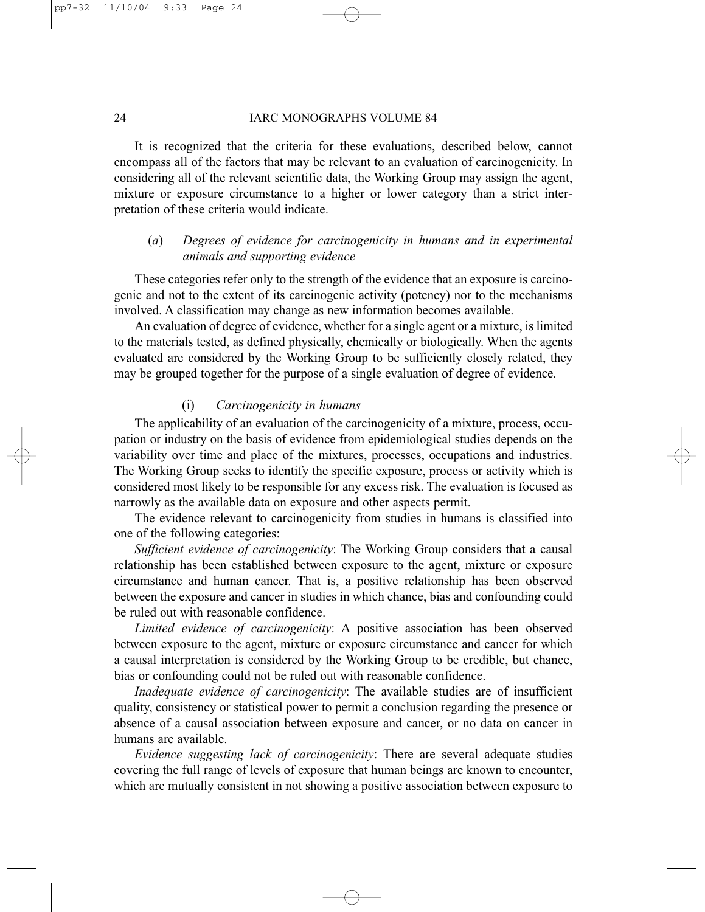### 24 **IARC MONOGRAPHS VOLUME 84**

It is recognized that the criteria for these evaluations, described below, cannot encompass all of the factors that may be relevant to an evaluation of carcinogenicity. In considering all of the relevant scientific data, the Working Group may assign the agent, mixture or exposure circumstance to a higher or lower category than a strict interpretation of these criteria would indicate.

# (*a*) *Degrees of evidence for carcinogenicity in humans and in experimental animals and supporting evidence*

These categories refer only to the strength of the evidence that an exposure is carcinogenic and not to the extent of its carcinogenic activity (potency) nor to the mechanisms involved. A classification may change as new information becomes available.

An evaluation of degree of evidence, whether for a single agent or a mixture, is limited to the materials tested, as defined physically, chemically or biologically. When the agents evaluated are considered by the Working Group to be sufficiently closely related, they may be grouped together for the purpose of a single evaluation of degree of evidence.

# (i) *Carcinogenicity in humans*

The applicability of an evaluation of the carcinogenicity of a mixture, process, occupation or industry on the basis of evidence from epidemiological studies depends on the variability over time and place of the mixtures, processes, occupations and industries. The Working Group seeks to identify the specific exposure, process or activity which is considered most likely to be responsible for any excess risk. The evaluation is focused as narrowly as the available data on exposure and other aspects permit.

The evidence relevant to carcinogenicity from studies in humans is classified into one of the following categories:

*Sufficient evidence of carcinogenicity*: The Working Group considers that a causal relationship has been established between exposure to the agent, mixture or exposure circumstance and human cancer. That is, a positive relationship has been observed between the exposure and cancer in studies in which chance, bias and confounding could be ruled out with reasonable confidence.

*Limited evidence of carcinogenicity*: A positive association has been observed between exposure to the agent, mixture or exposure circumstance and cancer for which a causal interpretation is considered by the Working Group to be credible, but chance, bias or confounding could not be ruled out with reasonable confidence.

*Inadequate evidence of carcinogenicity*: The available studies are of insufficient quality, consistency or statistical power to permit a conclusion regarding the presence or absence of a causal association between exposure and cancer, or no data on cancer in humans are available.

*Evidence suggesting lack of carcinogenicity*: There are several adequate studies covering the full range of levels of exposure that human beings are known to encounter, which are mutually consistent in not showing a positive association between exposure to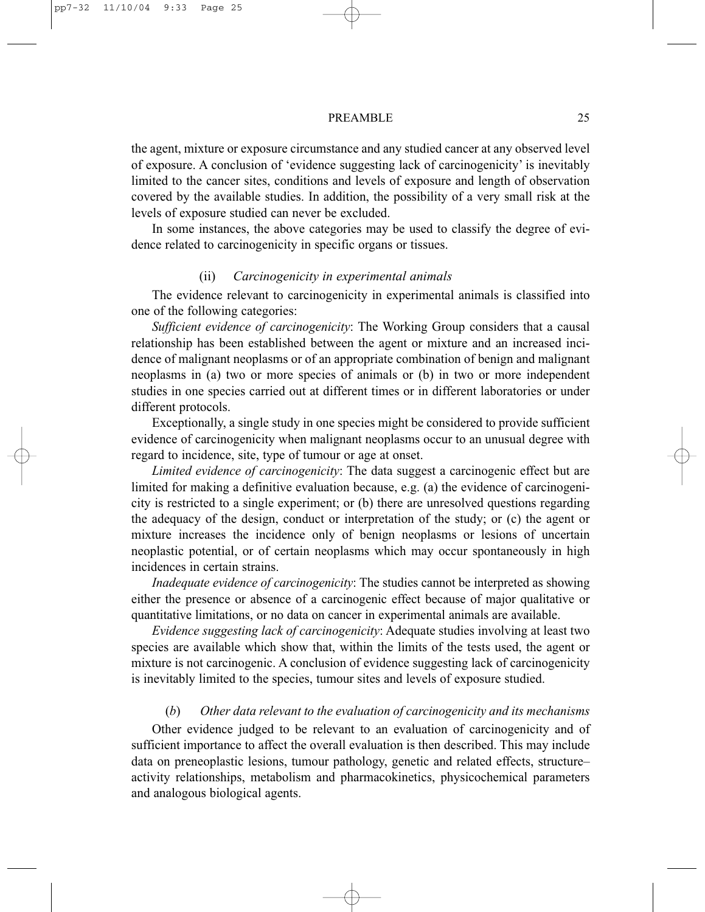the agent, mixture or exposure circumstance and any studied cancer at any observed level of exposure. A conclusion of 'evidence suggesting lack of carcinogenicity' is inevitably limited to the cancer sites, conditions and levels of exposure and length of observation covered by the available studies. In addition, the possibility of a very small risk at the levels of exposure studied can never be excluded.

In some instances, the above categories may be used to classify the degree of evidence related to carcinogenicity in specific organs or tissues.

### (ii) *Carcinogenicity in experimental animals*

The evidence relevant to carcinogenicity in experimental animals is classified into one of the following categories:

*Sufficient evidence of carcinogenicity*: The Working Group considers that a causal relationship has been established between the agent or mixture and an increased incidence of malignant neoplasms or of an appropriate combination of benign and malignant neoplasms in (a) two or more species of animals or (b) in two or more independent studies in one species carried out at different times or in different laboratories or under different protocols.

Exceptionally, a single study in one species might be considered to provide sufficient evidence of carcinogenicity when malignant neoplasms occur to an unusual degree with regard to incidence, site, type of tumour or age at onset.

*Limited evidence of carcinogenicity*: The data suggest a carcinogenic effect but are limited for making a definitive evaluation because, e.g. (a) the evidence of carcinogenicity is restricted to a single experiment; or (b) there are unresolved questions regarding the adequacy of the design, conduct or interpretation of the study; or (c) the agent or mixture increases the incidence only of benign neoplasms or lesions of uncertain neoplastic potential, or of certain neoplasms which may occur spontaneously in high incidences in certain strains.

*Inadequate evidence of carcinogenicity*: The studies cannot be interpreted as showing either the presence or absence of a carcinogenic effect because of major qualitative or quantitative limitations, or no data on cancer in experimental animals are available.

*Evidence suggesting lack of carcinogenicity*: Adequate studies involving at least two species are available which show that, within the limits of the tests used, the agent or mixture is not carcinogenic. A conclusion of evidence suggesting lack of carcinogenicity is inevitably limited to the species, tumour sites and levels of exposure studied.

# (*b*) *Other data relevant to the evaluation of carcinogenicity and its mechanisms*

Other evidence judged to be relevant to an evaluation of carcinogenicity and of sufficient importance to affect the overall evaluation is then described. This may include data on preneoplastic lesions, tumour pathology, genetic and related effects, structure– activity relationships, metabolism and pharmacokinetics, physicochemical parameters and analogous biological agents.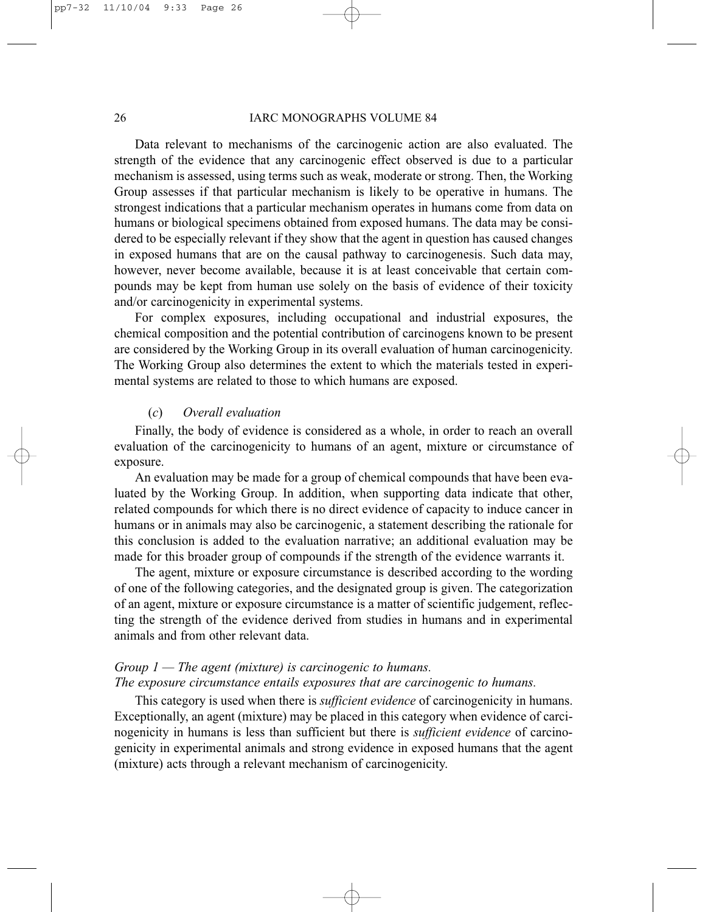#### 26 IARC MONOGRAPHS VOLUME 84

Data relevant to mechanisms of the carcinogenic action are also evaluated. The strength of the evidence that any carcinogenic effect observed is due to a particular mechanism is assessed, using terms such as weak, moderate or strong. Then, the Working Group assesses if that particular mechanism is likely to be operative in humans. The strongest indications that a particular mechanism operates in humans come from data on humans or biological specimens obtained from exposed humans. The data may be considered to be especially relevant if they show that the agent in question has caused changes in exposed humans that are on the causal pathway to carcinogenesis. Such data may, however, never become available, because it is at least conceivable that certain compounds may be kept from human use solely on the basis of evidence of their toxicity and/or carcinogenicity in experimental systems.

For complex exposures, including occupational and industrial exposures, the chemical composition and the potential contribution of carcinogens known to be present are considered by the Working Group in its overall evaluation of human carcinogenicity. The Working Group also determines the extent to which the materials tested in experimental systems are related to those to which humans are exposed.

# (*c*) *Overall evaluation*

Finally, the body of evidence is considered as a whole, in order to reach an overall evaluation of the carcinogenicity to humans of an agent, mixture or circumstance of exposure.

An evaluation may be made for a group of chemical compounds that have been evaluated by the Working Group. In addition, when supporting data indicate that other, related compounds for which there is no direct evidence of capacity to induce cancer in humans or in animals may also be carcinogenic, a statement describing the rationale for this conclusion is added to the evaluation narrative; an additional evaluation may be made for this broader group of compounds if the strength of the evidence warrants it.

The agent, mixture or exposure circumstance is described according to the wording of one of the following categories, and the designated group is given. The categorization of an agent, mixture or exposure circumstance is a matter of scientific judgement, reflecting the strength of the evidence derived from studies in humans and in experimental animals and from other relevant data.

# *Group 1 — The agent (mixture) is carcinogenic to humans. The exposure circumstance entails exposures that are carcinogenic to humans.*

This category is used when there is *sufficient evidence* of carcinogenicity in humans. Exceptionally, an agent (mixture) may be placed in this category when evidence of carcinogenicity in humans is less than sufficient but there is *sufficient evidence* of carcinogenicity in experimental animals and strong evidence in exposed humans that the agent (mixture) acts through a relevant mechanism of carcinogenicity.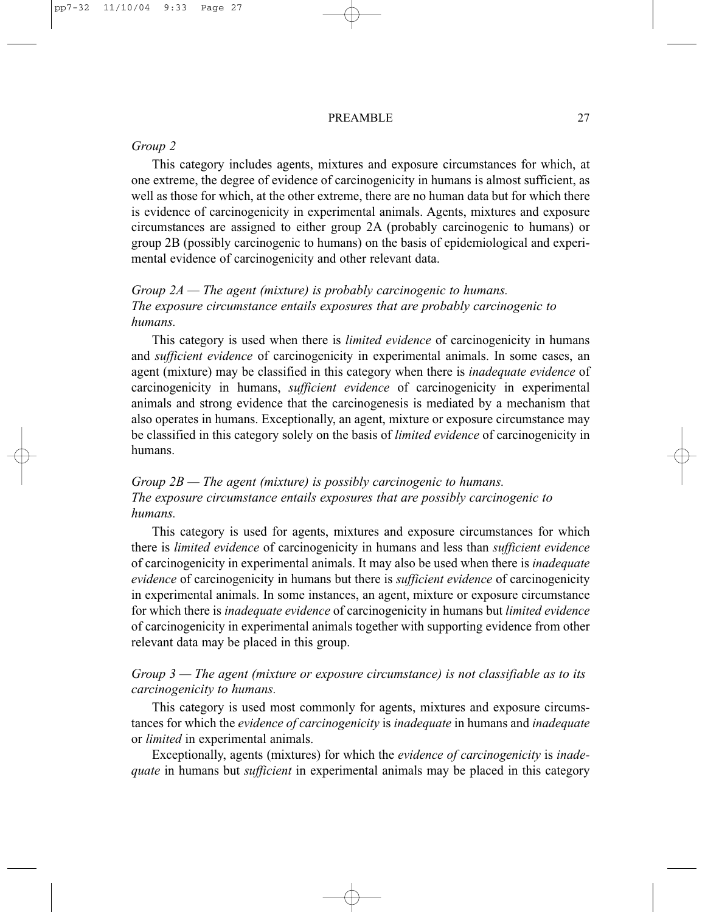# *Group 2*

This category includes agents, mixtures and exposure circumstances for which, at one extreme, the degree of evidence of carcinogenicity in humans is almost sufficient, as well as those for which, at the other extreme, there are no human data but for which there is evidence of carcinogenicity in experimental animals. Agents, mixtures and exposure circumstances are assigned to either group 2A (probably carcinogenic to humans) or group 2B (possibly carcinogenic to humans) on the basis of epidemiological and experimental evidence of carcinogenicity and other relevant data.

# *Group 2A — The agent (mixture) is probably carcinogenic to humans. The exposure circumstance entails exposures that are probably carcinogenic to humans.*

This category is used when there is *limited evidence* of carcinogenicity in humans and *sufficient evidence* of carcinogenicity in experimental animals. In some cases, an agent (mixture) may be classified in this category when there is *inadequate evidence* of carcinogenicity in humans, *sufficient evidence* of carcinogenicity in experimental animals and strong evidence that the carcinogenesis is mediated by a mechanism that also operates in humans. Exceptionally, an agent, mixture or exposure circumstance may be classified in this category solely on the basis of *limited evidence* of carcinogenicity in humans.

# *Group 2B — The agent (mixture) is possibly carcinogenic to humans. The exposure circumstance entails exposures that are possibly carcinogenic to humans.*

This category is used for agents, mixtures and exposure circumstances for which there is *limited evidence* of carcinogenicity in humans and less than *sufficient evidence* of carcinogenicity in experimental animals. It may also be used when there is *inadequate evidence* of carcinogenicity in humans but there is *sufficient evidence* of carcinogenicity in experimental animals. In some instances, an agent, mixture or exposure circumstance for which there is *inadequate evidence* of carcinogenicity in humans but *limited evidence* of carcinogenicity in experimental animals together with supporting evidence from other relevant data may be placed in this group.

# *Group 3 — The agent (mixture or exposure circumstance) is not classifiable as to its carcinogenicity to humans.*

This category is used most commonly for agents, mixtures and exposure circumstances for which the *evidence of carcinogenicity* is *inadequate* in humans and *inadequate* or *limited* in experimental animals.

Exceptionally, agents (mixtures) for which the *evidence of carcinogenicity* is *inadequate* in humans but *sufficient* in experimental animals may be placed in this category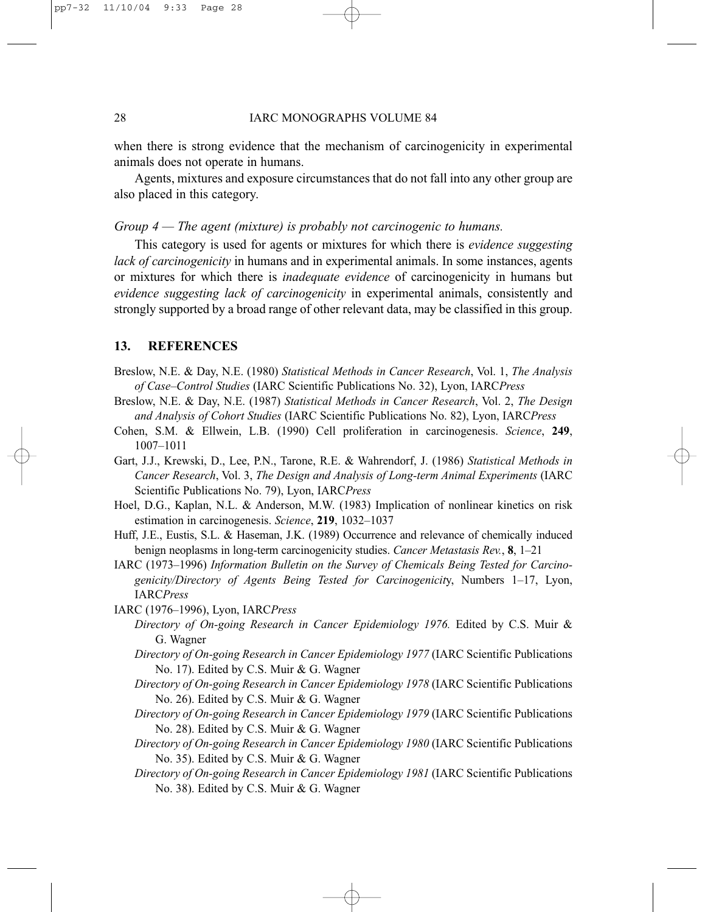when there is strong evidence that the mechanism of carcinogenicity in experimental animals does not operate in humans.

Agents, mixtures and exposure circumstances that do not fall into any other group are also placed in this category.

*Group 4 — The agent (mixture) is probably not carcinogenic to humans.*

This category is used for agents or mixtures for which there is *evidence suggesting lack of carcinogenicity* in humans and in experimental animals. In some instances, agents or mixtures for which there is *inadequate evidence* of carcinogenicity in humans but *evidence suggesting lack of carcinogenicity* in experimental animals, consistently and strongly supported by a broad range of other relevant data, may be classified in this group.

# **13. REFERENCES**

- Breslow, N.E. & Day, N.E. (1980) *Statistical Methods in Cancer Research*, Vol. 1, *The Analysis of Case–Control Studies* (IARC Scientific Publications No. 32), Lyon, IARC*Press*
- Breslow, N.E. & Day, N.E. (1987) *Statistical Methods in Cancer Research*, Vol. 2, *The Design and Analysis of Cohort Studies* (IARC Scientific Publications No. 82), Lyon, IARC*Press*
- Cohen, S.M. & Ellwein, L.B. (1990) Cell proliferation in carcinogenesis. *Science*, **249**, 1007–1011
- Gart, J.J., Krewski, D., Lee, P.N., Tarone, R.E. & Wahrendorf, J. (1986) *Statistical Methods in Cancer Research*, Vol. 3, *The Design and Analysis of Long-term Animal Experiments* (IARC Scientific Publications No. 79), Lyon, IARC*Press*
- Hoel, D.G., Kaplan, N.L. & Anderson, M.W. (1983) Implication of nonlinear kinetics on risk estimation in carcinogenesis. *Science*, **219**, 1032–1037
- Huff, J.E., Eustis, S.L. & Haseman, J.K. (1989) Occurrence and relevance of chemically induced benign neoplasms in long-term carcinogenicity studies. *Cancer Metastasis Rev.*, **8**, 1–21
- IARC (1973–1996) *Information Bulletin on the Survey of Chemicals Being Tested for Carcinogenicity/Directory of Agents Being Tested for Carcinogenicit*y, Numbers 1–17, Lyon, IARC*Press*
- IARC (1976–1996), Lyon, IARC*Press*
	- *Directory of On-going Research in Cancer Epidemiology 1976.* Edited by C.S. Muir & G. Wagner
	- *Directory of On-going Research in Cancer Epidemiology 1977* (IARC Scientific Publications No. 17). Edited by C.S. Muir & G. Wagner
	- *Directory of On-going Research in Cancer Epidemiology 1978* (IARC Scientific Publications No. 26). Edited by C.S. Muir & G. Wagner
	- *Directory of On-going Research in Cancer Epidemiology 1979* (IARC Scientific Publications No. 28). Edited by C.S. Muir & G. Wagner
	- *Directory of On-going Research in Cancer Epidemiology 1980* (IARC Scientific Publications No. 35). Edited by C.S. Muir & G. Wagner
	- *Directory of On-going Research in Cancer Epidemiology 1981* (IARC Scientific Publications No. 38). Edited by C.S. Muir & G. Wagner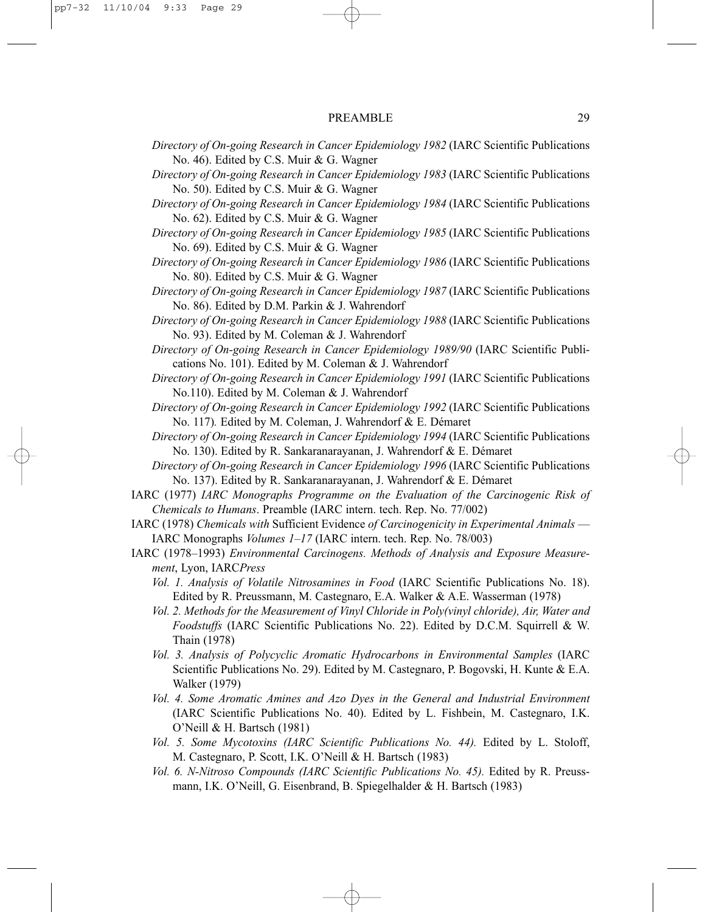- *Directory of On-going Research in Cancer Epidemiology 1982* (IARC Scientific Publications No. 46). Edited by C.S. Muir & G. Wagner
- *Directory of On-going Research in Cancer Epidemiology 1983* (IARC Scientific Publications No. 50). Edited by C.S. Muir & G. Wagner
- *Directory of On-going Research in Cancer Epidemiology 1984* (IARC Scientific Publications No. 62). Edited by C.S. Muir & G. Wagner
- *Directory of On-going Research in Cancer Epidemiology 1985* (IARC Scientific Publications No. 69). Edited by C.S. Muir & G. Wagner
- *Directory of On-going Research in Cancer Epidemiology 1986* (IARC Scientific Publications No. 80). Edited by C.S. Muir & G. Wagner
- *Directory of On-going Research in Cancer Epidemiology 1987* (IARC Scientific Publications No. 86). Edited by D.M. Parkin & J. Wahrendorf
- *Directory of On-going Research in Cancer Epidemiology 1988* (IARC Scientific Publications No. 93). Edited by M. Coleman & J. Wahrendorf
- *Directory of On-going Research in Cancer Epidemiology 1989/90* (IARC Scientific Publications No. 101). Edited by M. Coleman & J. Wahrendorf
- *Directory of On-going Research in Cancer Epidemiology 1991* (IARC Scientific Publications No.110). Edited by M. Coleman & J. Wahrendorf
- *Directory of On-going Research in Cancer Epidemiology 1992* (IARC Scientific Publications No. 117)*.* Edited by M. Coleman, J. Wahrendorf & E. Démaret
- *Directory of On-going Research in Cancer Epidemiology 1994* (IARC Scientific Publications No. 130). Edited by R. Sankaranarayanan, J. Wahrendorf & E. Démaret
- *Directory of On-going Research in Cancer Epidemiology 1996* (IARC Scientific Publications No. 137). Edited by R. Sankaranarayanan, J. Wahrendorf & E. Démaret
- IARC (1977) *IARC Monographs Programme on the Evaluation of the Carcinogenic Risk of Chemicals to Humans*. Preamble (IARC intern. tech. Rep. No. 77/002)
- IARC (1978) *Chemicals with* Sufficient Evidence *of Carcinogenicity in Experimental Animals* IARC Monographs *Volumes 1–17* (IARC intern. tech. Rep. No. 78/003)
- IARC (1978–1993) *Environmental Carcinogens. Methods of Analysis and Exposure Measurement*, Lyon, IARC*Press*
	- *Vol. 1. Analysis of Volatile Nitrosamines in Food* (IARC Scientific Publications No. 18). Edited by R. Preussmann, M. Castegnaro, E.A. Walker & A.E. Wasserman (1978)
	- *Vol. 2. Methods for the Measurement of Vinyl Chloride in Poly(vinyl chloride), Air, Water and Foodstuffs* (IARC Scientific Publications No. 22). Edited by D.C.M. Squirrell & W. Thain (1978)
	- *Vol. 3. Analysis of Polycyclic Aromatic Hydrocarbons in Environmental Samples* (IARC Scientific Publications No. 29). Edited by M. Castegnaro, P. Bogovski, H. Kunte & E.A. Walker (1979)
	- *Vol. 4. Some Aromatic Amines and Azo Dyes in the General and Industrial Environment* (IARC Scientific Publications No. 40). Edited by L. Fishbein, M. Castegnaro, I.K. O'Neill & H. Bartsch (1981)
	- *Vol. 5. Some Mycotoxins (IARC Scientific Publications No. 44).* Edited by L. Stoloff, M. Castegnaro, P. Scott, I.K. O'Neill & H. Bartsch (1983)
	- *Vol. 6. N-Nitroso Compounds (IARC Scientific Publications No. 45).* Edited by R. Preussmann, I.K. O'Neill, G. Eisenbrand, B. Spiegelhalder & H. Bartsch (1983)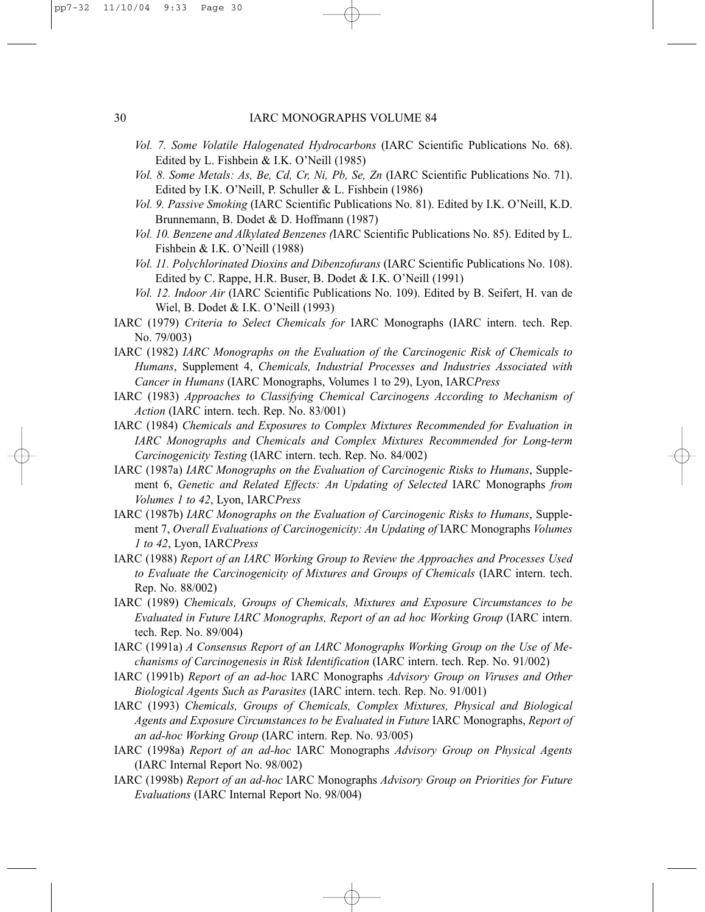- *Vol. 7. Some Volatile Halogenated Hydrocarbons* (IARC Scientific Publications No. 68). Edited by L. Fishbein & I.K. O'Neill (1985)
- *Vol. 8. Some Metals: As, Be, Cd, Cr, Ni, Pb, Se, Zn* (IARC Scientific Publications No. 71). Edited by I.K. O'Neill, P. Schuller & L. Fishbein (1986)
- *Vol. 9. Passive Smoking* (IARC Scientific Publications No. 81). Edited by I.K. O'Neill, K.D. Brunnemann, B. Dodet & D. Hoffmann (1987)
- *Vol. 10. Benzene and Alkylated Benzenes (*IARC Scientific Publications No. 85). Edited by L. Fishbein & I.K. O'Neill (1988)
- *Vol. 11. Polychlorinated Dioxins and Dibenzofurans* (IARC Scientific Publications No. 108). Edited by C. Rappe, H.R. Buser, B. Dodet & I.K. O'Neill (1991)
- *Vol. 12. Indoor Air* (IARC Scientific Publications No. 109). Edited by B. Seifert, H. van de Wiel, B. Dodet & I.K. O'Neill (1993)
- IARC (1979) *Criteria to Select Chemicals for* IARC Monographs (IARC intern. tech. Rep. No. 79/003)
- IARC (1982) *IARC Monographs on the Evaluation of the Carcinogenic Risk of Chemicals to Humans*, Supplement 4, *Chemicals, Industrial Processes and Industries Associated with Cancer in Humans* (IARC Monographs, Volumes 1 to 29), Lyon, IARC*Press*
- IARC (1983) *Approaches to Classifying Chemical Carcinogens According to Mechanism of Action* (IARC intern. tech. Rep. No. 83/001)
- IARC (1984) *Chemicals and Exposures to Complex Mixtures Recommended for Evaluation in IARC Monographs and Chemicals and Complex Mixtures Recommended for Long-term Carcinogenicity Testing* (IARC intern. tech. Rep. No. 84/002)
- IARC (1987a) *IARC Monographs on the Evaluation of Carcinogenic Risks to Humans*, Supplement 6, *Genetic and Related Effects: An Updating of Selected* IARC Monographs *from Volumes 1 to 42*, Lyon, IARC*Press*
- IARC (1987b) *IARC Monographs on the Evaluation of Carcinogenic Risks to Humans*, Supplement 7, *Overall Evaluations of Carcinogenicity: An Updating of* IARC Monographs *Volumes 1 to 42*, Lyon, IARC*Press*
- IARC (1988) *Report of an IARC Working Group to Review the Approaches and Processes Used to Evaluate the Carcinogenicity of Mixtures and Groups of Chemicals* (IARC intern. tech. Rep. No. 88/002)
- IARC (1989) *Chemicals, Groups of Chemicals, Mixtures and Exposure Circumstances to be Evaluated in Future IARC Monographs, Report of an ad hoc Working Group* (IARC intern. tech. Rep. No. 89/004)
- IARC (1991a) *A Consensus Report of an IARC Monographs Working Group on the Use of Mechanisms of Carcinogenesis in Risk Identification* (IARC intern. tech. Rep. No. 91/002)
- IARC (1991b) *Report of an ad-hoc* IARC Monographs *Advisory Group on Viruses and Other Biological Agents Such as Parasites* (IARC intern. tech. Rep. No. 91/001)
- IARC (1993) *Chemicals, Groups of Chemicals, Complex Mixtures, Physical and Biological Agents and Exposure Circumstances to be Evaluated in Future* IARC Monographs, *Report of an ad-hoc Working Group* (IARC intern. Rep. No. 93/005)
- IARC (1998a) *Report of an ad-hoc* IARC Monographs *Advisory Group on Physical Agents* (IARC Internal Report No. 98/002)
- IARC (1998b) *Report of an ad-hoc* IARC Monographs *Advisory Group on Priorities for Future Evaluations* (IARC Internal Report No. 98/004)